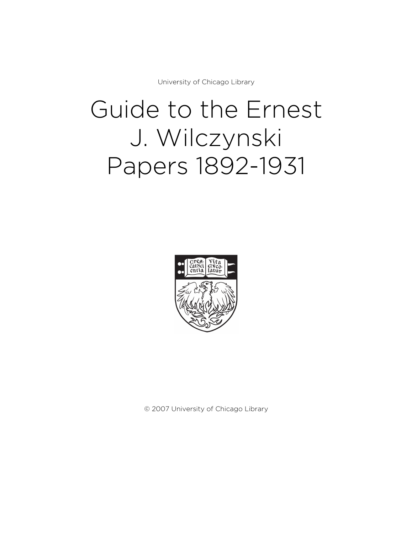University of Chicago Library

# Guide to the Ernest J. Wilczynski Papers 1892-1931



© 2007 University of Chicago Library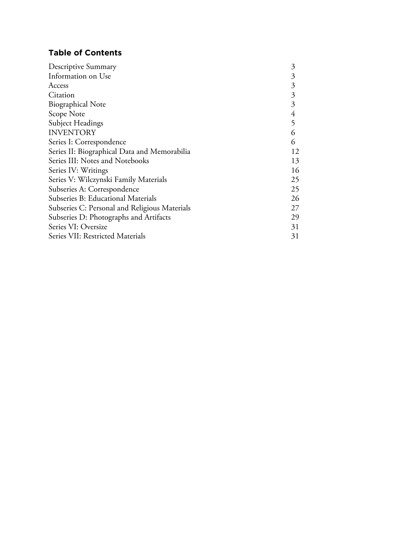# **Table of Contents**

| Descriptive Summary                           | $\mathfrak{Z}$ |
|-----------------------------------------------|----------------|
| Information on Use                            | 3              |
| Access                                        | 3              |
| Citation                                      | $\mathfrak{Z}$ |
| <b>Biographical Note</b>                      | 3              |
| Scope Note                                    | 4              |
| Subject Headings                              | 5              |
| <b>INVENTORY</b>                              | 6              |
| Series I: Correspondence                      | 6              |
| Series II: Biographical Data and Memorabilia  | 12             |
| Series III: Notes and Notebooks               | 13             |
| Series IV: Writings                           | 16             |
| Series V: Wilczynski Family Materials         | 25             |
| Subseries A: Correspondence                   | 25             |
| Subseries B: Educational Materials            | 26             |
| Subseries C: Personal and Religious Materials | 27             |
| Subseries D: Photographs and Artifacts        | 29             |
| Series VI: Oversize                           | 31             |
| Series VII: Restricted Materials              | 31             |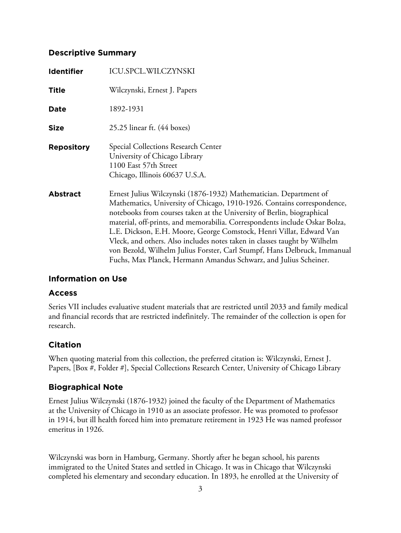# **Descriptive Summary**

| <b>Identifier</b> | <b>ICU.SPCL.WILCZYNSKI</b>                                                                                                                                                                                                                                                                                                                                                                                                                                                                                                                                                                               |
|-------------------|----------------------------------------------------------------------------------------------------------------------------------------------------------------------------------------------------------------------------------------------------------------------------------------------------------------------------------------------------------------------------------------------------------------------------------------------------------------------------------------------------------------------------------------------------------------------------------------------------------|
| <b>Title</b>      | Wilczynski, Ernest J. Papers                                                                                                                                                                                                                                                                                                                                                                                                                                                                                                                                                                             |
| Date              | 1892-1931                                                                                                                                                                                                                                                                                                                                                                                                                                                                                                                                                                                                |
| <b>Size</b>       | $25.25$ linear ft. $(44 \text{ boxes})$                                                                                                                                                                                                                                                                                                                                                                                                                                                                                                                                                                  |
| <b>Repository</b> | Special Collections Research Center<br>University of Chicago Library<br>1100 East 57th Street<br>Chicago, Illinois 60637 U.S.A.                                                                                                                                                                                                                                                                                                                                                                                                                                                                          |
| <b>Abstract</b>   | Ernest Julius Wilczynski (1876-1932) Mathematician. Department of<br>Mathematics, University of Chicago, 1910-1926. Contains correspondence,<br>notebooks from courses taken at the University of Berlin, biographical<br>material, off-prints, and memorabilia. Correspondents include Oskar Bolza,<br>L.E. Dickson, E.H. Moore, George Comstock, Henri Villat, Edward Van<br>Vleck, and others. Also includes notes taken in classes taught by Wilhelm<br>von Bezold, Wilhelm Julius Forster, Carl Stumpf, Hans Delbruck, Immanual<br>Fuchs, Max Planck, Hermann Amandus Schwarz, and Julius Scheiner. |

# **Information on Use**

# **Access**

Series VII includes evaluative student materials that are restricted until 2033 and family medical and financial records that are restricted indefinitely. The remainder of the collection is open for research.

# **Citation**

When quoting material from this collection, the preferred citation is: Wilczynski, Ernest J. Papers, [Box #, Folder #], Special Collections Research Center, University of Chicago Library

# **Biographical Note**

Ernest Julius Wilczynski (1876-1932) joined the faculty of the Department of Mathematics at the University of Chicago in 1910 as an associate professor. He was promoted to professor in 1914, but ill health forced him into premature retirement in 1923 He was named professor emeritus in 1926.

Wilczynski was born in Hamburg, Germany. Shortly after he began school, his parents immigrated to the United States and settled in Chicago. It was in Chicago that Wilczynski completed his elementary and secondary education. In 1893, he enrolled at the University of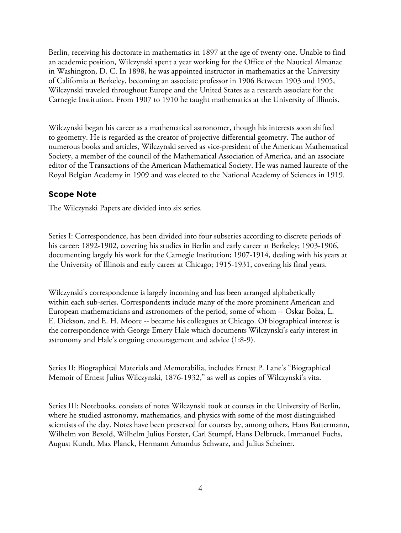Berlin, receiving his doctorate in mathematics in 1897 at the age of twenty-one. Unable to find an academic position, Wilczynski spent a year working for the Office of the Nautical Almanac in Washington, D. C. In 1898, he was appointed instructor in mathematics at the University of California at Berkeley, becoming an associate professor in 1906 Between 1903 and 1905, Wilczynski traveled throughout Europe and the United States as a research associate for the Carnegie Institution. From 1907 to 1910 he taught mathematics at the University of Illinois.

Wilczynski began his career as a mathematical astronomer, though his interests soon shifted to geometry. He is regarded as the creator of projective differential geometry. The author of numerous books and articles, Wilczynski served as vice-president of the American Mathematical Society, a member of the council of the Mathematical Association of America, and an associate editor of the Transactions of the American Mathematical Society. He was named laureate of the Royal Belgian Academy in 1909 and was elected to the National Academy of Sciences in 1919.

# **Scope Note**

The Wilczynski Papers are divided into six series.

Series I: Correspondence, has been divided into four subseries according to discrete periods of his career: 1892-1902, covering his studies in Berlin and early career at Berkeley; 1903-1906, documenting largely his work for the Carnegie Institution; 1907-1914, dealing with his years at the University of Illinois and early career at Chicago; 1915-1931, covering his final years.

Wilczynski's correspondence is largely incoming and has been arranged alphabetically within each sub-series. Correspondents include many of the more prominent American and European mathematicians and astronomers of the period, some of whom -- Oskar Bolza, L. E. Dickson, and E. H. Moore -- became his colleagues at Chicago. Of biographical interest is the correspondence with George Emery Hale which documents Wilczynski's early interest in astronomy and Hale's ongoing encouragement and advice (1:8-9).

Series II: Biographical Materials and Memorabilia, includes Ernest P. Lane's "Biographical Memoir of Ernest Julius Wilczynski, 1876-1932," as well as copies of Wilczynski's vita.

Series III: Notebooks, consists of notes Wilczynski took at courses in the University of Berlin, where he studied astronomy, mathematics, and physics with some of the most distinguished scientists of the day. Notes have been preserved for courses by, among others, Hans Battermann, Wilhelm von Bezold, Wilhelm Julius Forster, Carl Stumpf, Hans Delbruck, Immanuel Fuchs, August Kundt, Max Planck, Hermann Amandus Schwarz, and Julius Scheiner.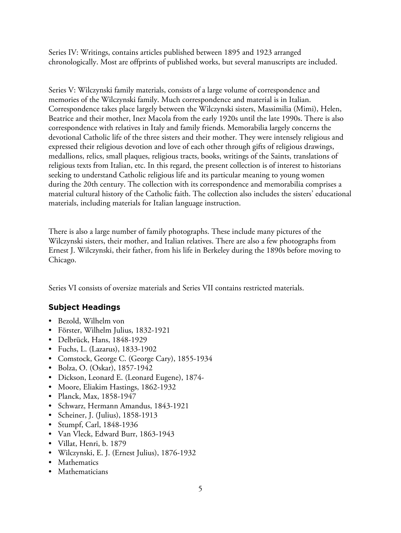Series IV: Writings, contains articles published between 1895 and 1923 arranged chronologically. Most are offprints of published works, but several manuscripts are included.

Series V: Wilczynski family materials, consists of a large volume of correspondence and memories of the Wilczynski family. Much correspondence and material is in Italian. Correspondence takes place largely between the Wilczynski sisters, Massimilia (Mimi), Helen, Beatrice and their mother, Inez Macola from the early 1920s until the late 1990s. There is also correspondence with relatives in Italy and family friends. Memorabilia largely concerns the devotional Catholic life of the three sisters and their mother. They were intensely religious and expressed their religious devotion and love of each other through gifts of religious drawings, medallions, relics, small plaques, religious tracts, books, writings of the Saints, translations of religious texts from Italian, etc. In this regard, the present collection is of interest to historians seeking to understand Catholic religious life and its particular meaning to young women during the 20th century. The collection with its correspondence and memorabilia comprises a material cultural history of the Catholic faith. The collection also includes the sisters' educational materials, including materials for Italian language instruction.

There is also a large number of family photographs. These include many pictures of the Wilczynski sisters, their mother, and Italian relatives. There are also a few photographs from Ernest J. Wilczynski, their father, from his life in Berkeley during the 1890s before moving to Chicago.

Series VI consists of oversize materials and Series VII contains restricted materials.

# **Subject Headings**

- Bezold, Wilhelm von
- Förster, Wilhelm Julius, 1832-1921
- Delbrück, Hans, 1848-1929
- Fuchs, L. (Lazarus), 1833-1902
- Comstock, George C. (George Cary), 1855-1934
- Bolza, O. (Oskar), 1857-1942
- Dickson, Leonard E. (Leonard Eugene), 1874-
- Moore, Eliakim Hastings, 1862-1932
- Planck, Max, 1858-1947
- Schwarz, Hermann Amandus, 1843-1921
- Scheiner, J. (Julius), 1858-1913
- Stumpf, Carl, 1848-1936
- Van Vleck, Edward Burr, 1863-1943
- Villat, Henri, b. 1879
- Wilczynski, E. J. (Ernest Julius), 1876-1932
- Mathematics
- Mathematicians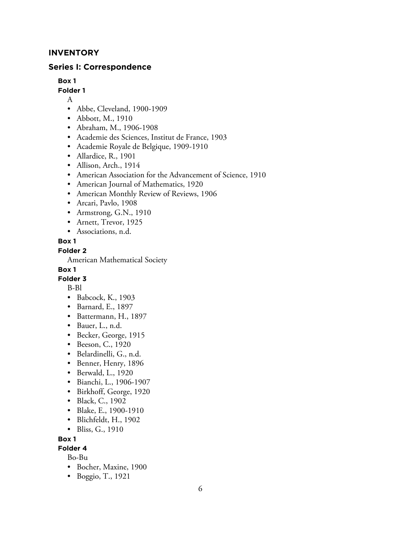# **INVENTORY**

## **Series I: Correspondence**

**Box 1**

## **Folder 1**

A

- Abbe, Cleveland, 1900-1909
- Abbott, M., 1910
- Abraham, M., 1906-1908
- Academie des Sciences, Institut de France, 1903
- Academie Royale de Belgique, 1909-1910
- Allardice, R., 1901
- Allison, Arch., 1914
- American Association for the Advancement of Science, 1910
- American Journal of Mathematics, 1920
- American Monthly Review of Reviews, 1906
- Arcari, Pavlo, 1908
- Armstrong, G.N., 1910
- Arnett, Trevor, 1925
- Associations, n.d.

## **Box 1**

## **Folder 2**

American Mathematical Society

## **Box 1**

## **Folder 3**

B-Bl

- Babcock, K., 1903
- Barnard, E., 1897
- Battermann, H., 1897
- Bauer, L., n.d.
- Becker, George, 1915
- Beeson, C., 1920
- Belardinelli, G., n.d.
- Benner, Henry, 1896
- Berwald, L., 1920
- Bianchi, L., 1906-1907
- Birkhoff, George, 1920
- Black, C., 1902
- Blake, E., 1900-1910
- Blichfeldt, H., 1902
- Bliss, G., 1910

## **Box 1**

# **Folder 4**

Bo-Bu

- Bocher, Maxine, 1900
- Boggio, T., 1921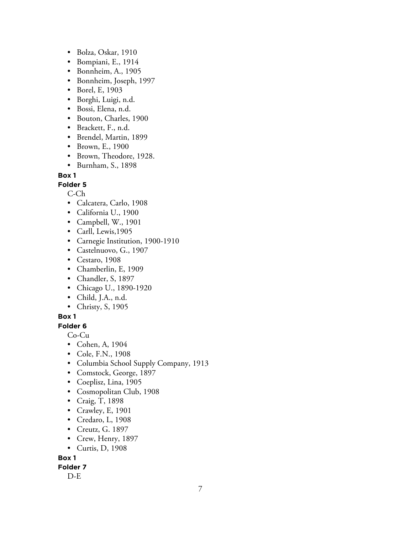- Bolza, Oskar, 1910
- Bompiani, E., 1914
- Bonnheim, A., 1905
- Bonnheim, Joseph, 1997
- Borel, E, 1903
- Borghi, Luigi, n.d.
- Bossi, Elena, n.d.
- Bouton, Charles, 1900
- Brackett, F., n.d.
- Brendel, Martin, 1899
- Brown, E., 1900
- Brown, Theodore, 1928.
- Burnham, S., 1898

## **Folder 5**

C-Ch

- Calcatera, Carlo, 1908
- California U., 1900
- Campbell, W., 1901
- Carll, Lewis,1905
- Carnegie Institution, 1900-1910
- Castelnuovo, G., 1907
- Cestaro, 1908
- Chamberlin, E, 1909
- Chandler, S, 1897
- Chicago U., 1890-1920
- Child, J.A., n.d.
- Christy, S, 1905

## **Box 1**

## **Folder 6**

Co-Cu

- Cohen, A, 1904
- Cole, F.N., 1908
- Columbia School Supply Company, 1913
- Comstock, George, 1897
- Coeplisz, Lina, 1905
- Cosmopolitan Club, 1908
- Craig, T, 1898
- Crawley, E, 1901
- Credaro, L, 1908
- Creutz, G. 1897
- Crew, Henry, 1897
- Curtis, D, 1908

**Box 1**

## **Folder 7**

D-E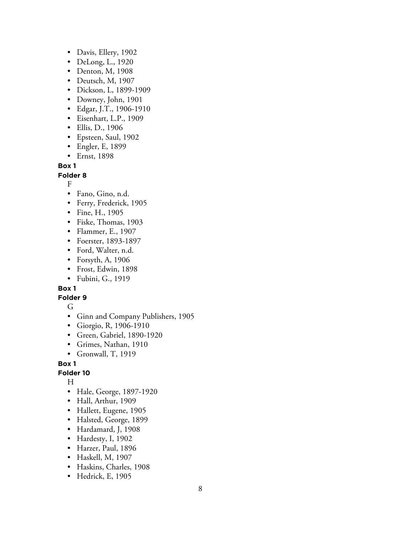- Davis, Ellery, 1902
- DeLong, L., 1920
- Denton, M, 1908
- Deutsch, M, 1907
- Dickson, L, 1899-1909
- Downey, John, 1901
- Edgar, J.T., 1906-1910
- Eisenhart, L.P., 1909
- Ellis, D., 1906
- Epsteen, Saul, 1902
- Engler, E, 1899
- Ernst, 1898

**Folder 8**

F

- Fano, Gino, n.d.
- Ferry, Frederick, 1905
- Fine, H., 1905
- Fiske, Thomas, 1903
- Flammer, E., 1907
- Foerster, 1893-1897
- Ford, Walter, n.d.
- Forsyth, A, 1906
- Frost, Edwin, 1898
- Fubini, G., 1919

**Box 1**

## **Folder 9**

- G
- Ginn and Company Publishers, 1905
- Giorgio, R, 1906-1910
- Green, Gabriel, 1890-1920
- Grimes, Nathan, 1910
- Gronwall, T, 1919

## **Box 1**

## **Folder 10**

H

- Hale, George, 1897-1920
- Hall, Arthur, 1909
- Hallett, Eugene, 1905
- Halsted, George, 1899
- Hardamard, J, 1908
- Hardesty, I, 1902
- Harzer, Paul, 1896
- Haskell, M, 1907
- Haskins, Charles, 1908
- Hedrick, E, 1905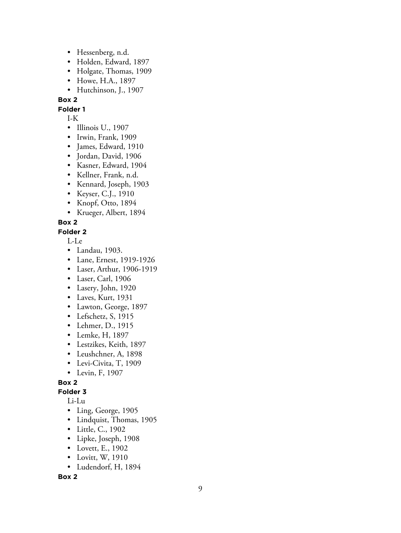- Hessenberg, n.d.
- Holden, Edward, 1897
- Holgate, Thomas, 1909
- Howe, H.A., 1897
- Hutchinson, J., 1907

**Folder 1**

- I-K• Illinois U., 1907
- Irwin, Frank, 1909
- James, Edward, 1910
- Jordan, David, 1906
- Kasner, Edward, 1904
- Kellner, Frank, n.d.
- Kennard, Joseph, 1903
- Keyser, C.J., 1910
- Knopf, Otto, 1894
- Krueger, Albert, 1894

**Box 2**

## **Folder 2**

L-Le

- Landau, 1903.
- Lane, Ernest, 1919-1926
- Laser, Arthur, 1906-1919
- Laser, Carl, 1906
- Lasery, John, 1920
- Laves, Kurt, 1931
- Lawton, George, 1897
- Lefschetz, S, 1915
- Lehmer, D., 1915
- Lemke, H, 1897
- Lestzikes, Keith, 1897
- Leushchner, A, 1898
- Levi-Civita, T, 1909
- Levin, F, 1907

**Box 2**

#### **Folder 3**

Li-Lu

- Ling, George, 1905
- Lindquist, Thomas, 1905
- Little, C., 1902
- Lipke, Joseph, 1908
- Lovett, E., 1902
- Lovitt, W, 1910
- Ludendorf, H, 1894

**Box 2**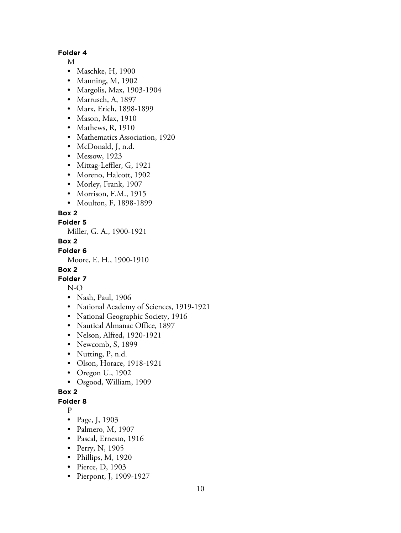#### **Folder 4**

M

- Maschke, H, 1900
- Manning, M, 1902
- Margolis, Max, 1903-1904
- Marrusch, A, 1897
- Marx, Erich, 1898-1899
- Mason, Max, 1910
- Mathews, R, 1910
- Mathematics Association, 1920
- McDonald, J, n.d.
- Messow, 1923
- Mittag-Leffler, G, 1921
- Moreno, Halcott, 1902
- Morley, Frank, 1907
- Morrison, F.M., 1915
- Moulton, F, 1898-1899

#### **Box 2**

**Folder 5**

Miller, G. A., 1900-1921

#### **Box 2**

**Folder 6**

Moore, E. H., 1900-1910

## **Box 2**

## **Folder 7**

# N-O

- Nash, Paul, 1906
- National Academy of Sciences, 1919-1921
- National Geographic Society, 1916
- Nautical Almanac Office, 1897
- Nelson, Alfred, 1920-1921
- Newcomb, S, 1899
- Nutting, P, n.d.
- Olson, Horace, 1918-1921
- Oregon U., 1902
- Osgood, William, 1909

#### **Box 2**

#### **Folder 8**

P

- Page, J, 1903
- Palmero, M, 1907
- Pascal, Ernesto, 1916
- Perry, N, 1905
- Phillips, M, 1920
- Pierce, D, 1903
- Pierpont, J, 1909-1927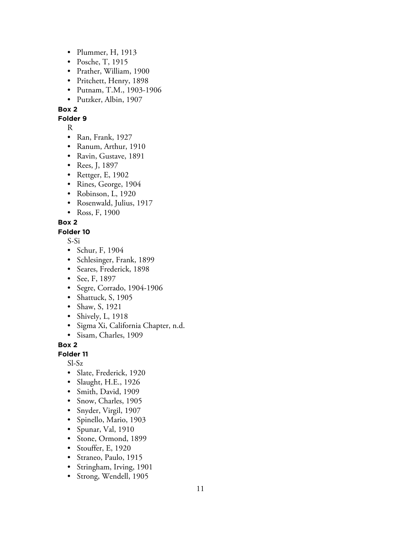- Plummer, H, 1913
- Posche, T, 1915
- Prather, William, 1900
- Pritchett, Henry, 1898
- Putnam, T.M., 1903-1906
- Putzker, Albin, 1907

**Folder 9**

R

- Ran, Frank, 1927
- Ranum, Arthur, 1910
- Ravin, Gustave, 1891
- Rees, J, 1897
- Rettger, E, 1902
- Rines, George, 1904
- Robinson, L, 1920
- Rosenwald, Julius, 1917
- Ross, F, 1900

## **Box 2**

**Folder 10**

S-Si

- Schur, F, 1904
- Schlesinger, Frank, 1899
- Seares, Frederick, 1898
- See, F, 1897
- Segre, Corrado, 1904-1906
- Shattuck, S, 1905
- Shaw, S, 1921
- Shively, L, 1918
- Sigma Xi, California Chapter, n.d.
- Sisam, Charles, 1909

## **Box 2**

# **Folder 11**

Sl-Sz

- Slate, Frederick, 1920
- Slaught, H.E., 1926
- Smith, David, 1909
- Snow, Charles, 1905
- Snyder, Virgil, 1907
- Spinello, Mario, 1903
- Spunar, Val, 1910
- Stone, Ormond, 1899
- Stouffer, E, 1920
- Straneo, Paulo, 1915
- Stringham, Irving, 1901
- Strong, Wendell, 1905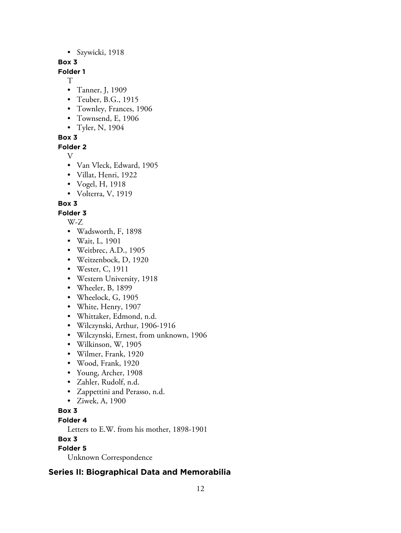• Szywicki, 1918

## **Box 3**

**Folder 1**

- T
- Tanner, J, 1909
- Teuber, B.G., 1915
- Townley, Frances, 1906
- Townsend, E, 1906
- Tyler, N, 1904

**Box 3**

# **Folder 2**

- V
- Van Vleck, Edward, 1905
- Villat, Henri, 1922
- Vogel, H, 1918
- Volterra, V, 1919

# **Box 3**

- **Folder 3**
	- W-Z
	- Wadsworth, F, 1898
	- Wait, L, 1901
	- Weitbrec, A.D., 1905
	- Weitzenbock, D, 1920
	- Wester, C, 1911
	- Western University, 1918
	- Wheeler, B, 1899
	- Wheelock, G, 1905
	- White, Henry, 1907
	- Whittaker, Edmond, n.d.
	- Wilczynski, Arthur, 1906-1916
	- Wilczynski, Ernest, from unknown, 1906
	- Wilkinson, W, 1905
	- Wilmer, Frank, 1920
	- Wood, Frank, 1920
	- Young, Archer, 1908
	- Zahler, Rudolf, n.d.
	- Zappettini and Perasso, n.d.
	- Ziwek, A, 1900
- **Box 3**

# **Folder 4**

Letters to E.W. from his mother, 1898-1901

**Box 3**

# **Folder 5**

Unknown Correspondence

# **Series II: Biographical Data and Memorabilia**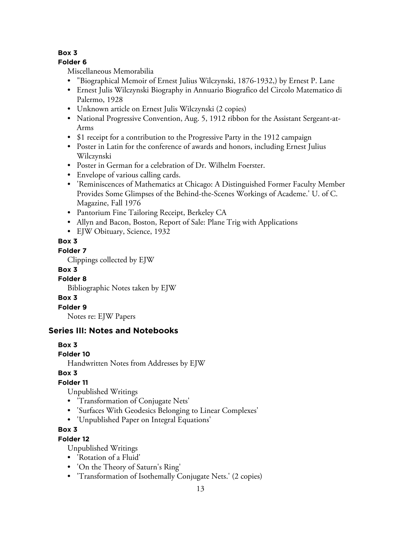# **Folder 6**

Miscellaneous Memorabilia

- "Biographical Memoir of Ernest Julius Wilczynski, 1876-1932,) by Ernest P. Lane
- Ernest Julis Wilczynski Biography in Annuario Biografico del Circolo Matematico di Palermo, 1928
- Unknown article on Ernest Julis Wilczynski (2 copies)
- National Progressive Convention, Aug. 5, 1912 ribbon for the Assistant Sergeant-at-Arms
- \$1 receipt for a contribution to the Progressive Party in the 1912 campaign
- Poster in Latin for the conference of awards and honors, including Ernest Julius Wilczynski
- Poster in German for a celebration of Dr. Wilhelm Foerster.
- Envelope of various calling cards.
- 'Reminiscences of Mathematics at Chicago: A Distinguished Former Faculty Member Provides Some Glimpses of the Behind-the-Scenes Workings of Academe.' U. of C. Magazine, Fall 1976
- Pantorium Fine Tailoring Receipt, Berkeley CA
- Allyn and Bacon, Boston, Report of Sale: Plane Trig with Applications
- EJW Obituary, Science, 1932

# **Box 3**

# **Folder 7**

Clippings collected by EJW

# **Box 3**

# **Folder 8**

Bibliographic Notes taken by EJW

# **Box 3**

**Folder 9**

Notes re: EJW Papers

# **Series III: Notes and Notebooks**

# **Box 3**

# **Folder 10**

Handwritten Notes from Addresses by EJW

# **Box 3**

# **Folder 11**

Unpublished Writings

- 'Transformation of Conjugate Nets'
- 'Surfaces With Geodesics Belonging to Linear Complexes'
- 'Unpublished Paper on Integral Equations'

# **Box 3**

# **Folder 12**

Unpublished Writings

- 'Rotation of a Fluid'
- 'On the Theory of Saturn's Ring'
- 'Transformation of Isothemally Conjugate Nets.' (2 copies)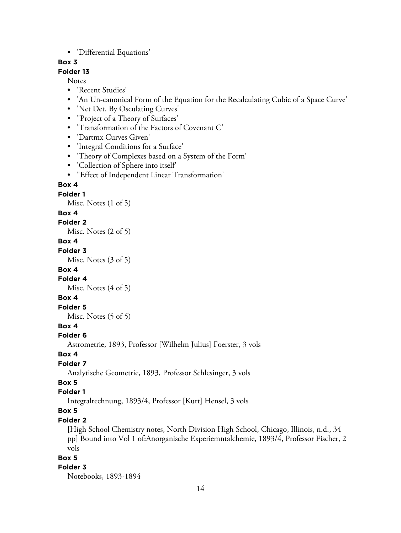• 'Differential Equations'

## **Box 3**

## **Folder 13**

Notes

- 'Recent Studies'
- 'An Un-canonical Form of the Equation for the Recalculating Cubic of a Space Curve'
- 'Net Det. By Osculating Curves'
- "Project of a Theory of Surfaces'
- 'Transformation of the Factors of Covenant C'
- 'Dartmx Curves Given'
- 'Integral Conditions for a Surface'
- 'Theory of Complexes based on a System of the Form'
- 'Collection of Sphere into itself'
- "Effect of Independent Linear Transformation'

#### **Box 4**

**Folder 1**

Misc. Notes (1 of 5)

#### **Box 4**

#### **Folder 2**

Misc. Notes (2 of 5)

#### **Box 4**

#### **Folder 3**

Misc. Notes (3 of 5)

#### **Box 4**

#### **Folder 4**

Misc. Notes (4 of 5)

## **Box 4**

## **Folder 5**

Misc. Notes (5 of 5)

## **Box 4**

#### **Folder 6**

Astrometrie, 1893, Professor [Wilhelm Julius] Foerster, 3 vols

#### **Box 4**

#### **Folder 7**

Analytische Geometrie, 1893, Professor Schlesinger, 3 vols

## **Box 5**

## **Folder 1**

Integralrechnung, 1893/4, Professor [Kurt] Hensel, 3 vols

# **Box 5**

## **Folder 2**

[High School Chemistry notes, North Division High School, Chicago, Illinois, n.d., 34 pp] Bound into Vol 1 of:Anorganische Experiemntalchemie, 1893/4, Professor Fischer, 2 vols

#### **Box 5**

#### **Folder 3**

Notebooks, 1893-1894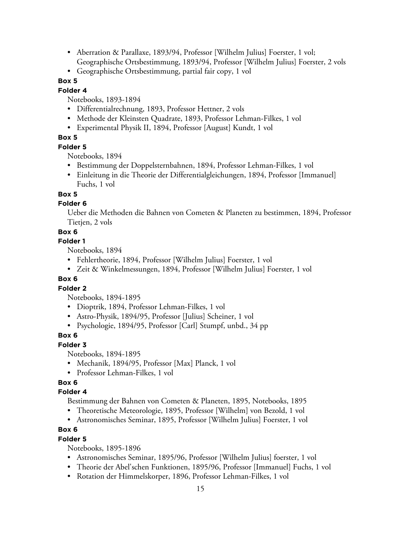- Aberration & Parallaxe, 1893/94, Professor [Wilhelm Julius] Foerster, 1 vol; Geographische Ortsbestimmung, 1893/94, Professor [Wilhelm Julius] Foerster, 2 vols
- Geographische Ortsbestimmung, partial fair copy, 1 vol

## **Folder 4**

Notebooks, 1893-1894

- Differentialrechnung, 1893, Professor Hettner, 2 vols
- Methode der Kleinsten Quadrate, 1893, Professor Lehman-Filkes, 1 vol
- Experimental Physik II, 1894, Professor [August] Kundt, 1 vol

## **Box 5**

## **Folder 5**

Notebooks, 1894

- Bestimmung der Doppelsternbahnen, 1894, Professor Lehman-Filkes, 1 vol
- Einleitung in die Theorie der Differentialgleichungen, 1894, Professor [Immanuel] Fuchs, 1 vol

## **Box 5**

## **Folder 6**

Ueber die Methoden die Bahnen von Cometen & Planeten zu bestimmen, 1894, Professor Tietjen, 2 vols

## **Box 6**

#### **Folder 1**

Notebooks, 1894

- Fehlertheorie, 1894, Professor [Wilhelm Julius] Foerster, 1 vol
- Zeit & Winkelmessungen, 1894, Professor [Wilhelm Julius] Foerster, 1 vol

## **Box 6**

## **Folder 2**

Notebooks, 1894-1895

- Dioptrik, 1894, Professor Lehman-Filkes, 1 vol
- Astro-Physik, 1894/95, Professor [Julius] Scheiner, 1 vol
- Psychologie, 1894/95, Professor [Carl] Stumpf, unbd., 34 pp

## **Box 6**

## **Folder 3**

Notebooks, 1894-1895

- Mechanik, 1894/95, Professor [Max] Planck, 1 vol
- Professor Lehman-Filkes, 1 vol

## **Box 6**

## **Folder 4**

Bestimmung der Bahnen von Cometen & Planeten, 1895, Notebooks, 1895

- Theoretische Meteorologie, 1895, Professor [Wilhelm] von Bezold, 1 vol
- Astronomisches Seminar, 1895, Professor [Wilhelm Julius] Foerster, 1 vol

## **Box 6**

## **Folder 5**

Notebooks, 1895-1896

- Astronomisches Seminar, 1895/96, Professor [Wilhelm Julius] foerster, 1 vol
- Theorie der Abel'schen Funktionen, 1895/96, Professor [Immanuel] Fuchs, 1 vol
- Rotation der Himmelskorper, 1896, Professor Lehman-Filkes, 1 vol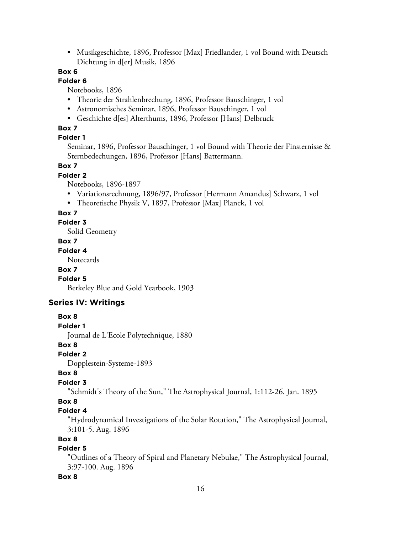• Musikgeschichte, 1896, Professor [Max] Friedlander, 1 vol Bound with Deutsch Dichtung in d[er] Musik, 1896

## **Box 6**

## **Folder 6**

Notebooks, 1896

- Theorie der Strahlenbrechung, 1896, Professor Bauschinger, 1 vol
- Astronomisches Seminar, 1896, Professor Bauschinger, 1 vol
- Geschichte d[es] Alterthums, 1896, Professor [Hans] Delbruck

#### **Box 7**

#### **Folder 1**

Seminar, 1896, Professor Bauschinger, 1 vol Bound with Theorie der Finsternisse & Sternbedechungen, 1896, Professor [Hans] Battermann.

## **Box 7**

#### **Folder 2**

Notebooks, 1896-1897

- Variationsrechnung, 1896/97, Professor [Hermann Amandus] Schwarz, 1 vol
- Theoretische Physik V, 1897, Professor [Max] Planck, 1 vol

#### **Box 7**

**Folder 3**

Solid Geometry

## **Box 7**

## **Folder 4**

**Notecards** 

#### **Box 7**

#### **Folder 5**

Berkeley Blue and Gold Yearbook, 1903

## **Series IV: Writings**

#### **Box 8**

#### **Folder 1**

Journal de L'Ecole Polytechnique, 1880

## **Box 8**

## **Folder 2**

Dopplestein-Systeme-1893

#### **Box 8**

## **Folder 3**

"Schmidt's Theory of the Sun," The Astrophysical Journal, 1:112-26. Jan. 1895

## **Box 8**

## **Folder 4**

"Hydrodynamical Investigations of the Solar Rotation," The Astrophysical Journal, 3:101-5. Aug. 1896

## **Box 8**

## **Folder 5**

"Outlines of a Theory of Spiral and Planetary Nebulae," The Astrophysical Journal, 3:97-100. Aug. 1896

#### **Box 8**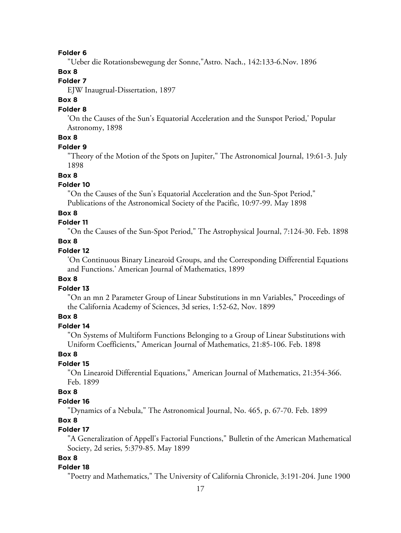#### **Folder 6**

"Ueber die Rotationsbewegung der Sonne,"Astro. Nach., 142:133-6.Nov. 1896

## **Box 8**

## **Folder 7**

EJW Inaugrual-Dissertation, 1897

## **Box 8**

## **Folder 8**

'On the Causes of the Sun's Equatorial Acceleration and the Sunspot Period,' Popular Astronomy, 1898

## **Box 8**

#### **Folder 9**

"Theory of the Motion of the Spots on Jupiter," The Astronomical Journal, 19:61-3. July 1898

#### **Box 8**

#### **Folder 10**

"On the Causes of the Sun's Equatorial Acceleration and the Sun-Spot Period," Publications of the Astronomical Society of the Pacific, 10:97-99. May 1898

#### **Box 8**

## **Folder 11**

"On the Causes of the Sun-Spot Period," The Astrophysical Journal, 7:124-30. Feb. 1898

## **Box 8**

## **Folder 12**

'On Continuous Binary Linearoid Groups, and the Corresponding Differential Equations and Functions.' American Journal of Mathematics, 1899

## **Box 8**

## **Folder 13**

"On an mn 2 Parameter Group of Linear Substitutions in mn Variables," Proceedings of the California Academy of Sciences, 3d series, 1:52-62, Nov. 1899

## **Box 8**

# **Folder 14**

"On Systems of Multiform Functions Belonging to a Group of Linear Substitutions with Uniform Coefficients," American Journal of Mathematics, 21:85-106. Feb. 1898

## **Box 8**

## **Folder 15**

"On Linearoid Differential Equations," American Journal of Mathematics, 21:354-366. Feb. 1899

#### **Box 8**

#### **Folder 16**

"Dynamics of a Nebula," The Astronomical Journal, No. 465, p. 67-70. Feb. 1899

#### **Box 8**

## **Folder 17**

"A Generalization of Appell's Factorial Functions," Bulletin of the American Mathematical Society, 2d series, 5:379-85. May 1899

# **Box 8**

#### **Folder 18**

"Poetry and Mathematics," The University of California Chronicle, 3:191-204. June 1900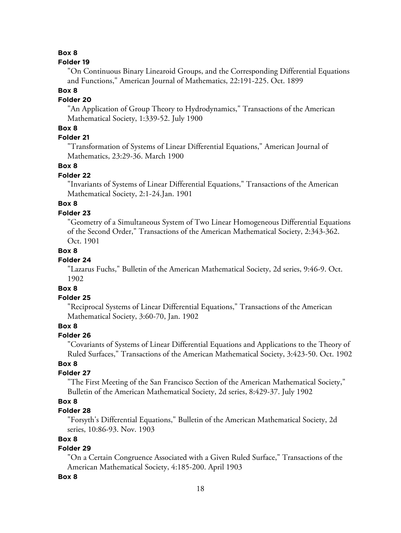#### **Folder 19**

"On Continuous Binary Linearoid Groups, and the Corresponding Differential Equations and Functions," American Journal of Mathematics, 22:191-225. Oct. 1899

#### **Box 8**

## **Folder 20**

"An Application of Group Theory to Hydrodynamics," Transactions of the American Mathematical Society, 1:339-52. July 1900

## **Box 8**

# **Folder 21**

"Transformation of Systems of Linear Differential Equations," American Journal of Mathematics, 23:29-36. March 1900

#### **Box 8**

## **Folder 22**

"Invariants of Systems of Linear Differential Equations," Transactions of the American Mathematical Society, 2:1-24.Jan. 1901

# **Box 8**

#### **Folder 23**

"Geometry of a Simultaneous System of Two Linear Homogeneous Differential Equations of the Second Order," Transactions of the American Mathematical Society, 2:343-362. Oct. 1901

#### **Box 8**

#### **Folder 24**

"Lazarus Fuchs," Bulletin of the American Mathematical Society, 2d series, 9:46-9. Oct. 1902

## **Box 8**

#### **Folder 25**

"Reciprocal Systems of Linear Differential Equations," Transactions of the American Mathematical Society, 3:60-70, Jan. 1902

## **Box 8**

#### **Folder 26**

"Covariants of Systems of Linear Differential Equations and Applications to the Theory of Ruled Surfaces," Transactions of the American Mathematical Society, 3:423-50. Oct. 1902

## **Box 8**

## **Folder 27**

"The First Meeting of the San Francisco Section of the American Mathematical Society," Bulletin of the American Mathematical Society, 2d series, 8:429-37. July 1902

#### **Box 8**

## **Folder 28**

"Forsyth's Differential Equations," Bulletin of the American Mathematical Society, 2d series, 10:86-93. Nov. 1903

## **Box 8**

# **Folder 29**

"On a Certain Congruence Associated with a Given Ruled Surface," Transactions of the American Mathematical Society, 4:185-200. April 1903

#### **Box 8**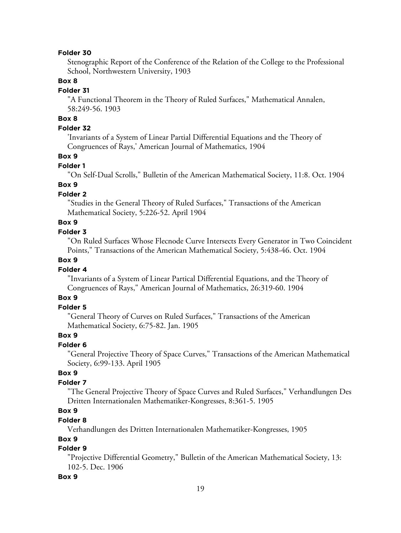#### **Folder 30**

Stenographic Report of the Conference of the Relation of the College to the Professional School, Northwestern University, 1903

## **Box 8**

## **Folder 31**

"A Functional Theorem in the Theory of Ruled Surfaces," Mathematical Annalen, 58:249-56. 1903

# **Box 8**

## **Folder 32**

'Invariants of a System of Linear Partial Differential Equations and the Theory of Congruences of Rays,' American Journal of Mathematics, 1904

## **Box 9**

#### **Folder 1**

"On Self-Dual Scrolls," Bulletin of the American Mathematical Society, 11:8. Oct. 1904

## **Box 9**

## **Folder 2**

"Studies in the General Theory of Ruled Surfaces," Transactions of the American Mathematical Society, 5:226-52. April 1904

## **Box 9**

#### **Folder 3**

"On Ruled Surfaces Whose Flecnode Curve Intersects Every Generator in Two Coincident Points," Transactions of the American Mathematical Society, 5:438-46. Oct. 1904

## **Box 9**

#### **Folder 4**

"Invariants of a System of Linear Partical Differential Equations, and the Theory of Congruences of Rays," American Journal of Mathematics, 26:319-60. 1904

## **Box 9**

#### **Folder 5**

"General Theory of Curves on Ruled Surfaces," Transactions of the American Mathematical Society, 6:75-82. Jan. 1905

#### **Box 9**

## **Folder 6**

"General Projective Theory of Space Curves," Transactions of the American Mathematical Society, 6:99-133. April 1905

## **Box 9**

# **Folder 7**

"The General Projective Theory of Space Curves and Ruled Surfaces," Verhandlungen Des Dritten Internationalen Mathematiker-Kongresses, 8:361-5. 1905

# **Box 9**

## **Folder 8**

Verhandlungen des Dritten Internationalen Mathematiker-Kongresses, 1905

## **Box 9**

# **Folder 9**

"Projective Differential Geometry," Bulletin of the American Mathematical Society, 13: 102-5. Dec. 1906

#### **Box 9**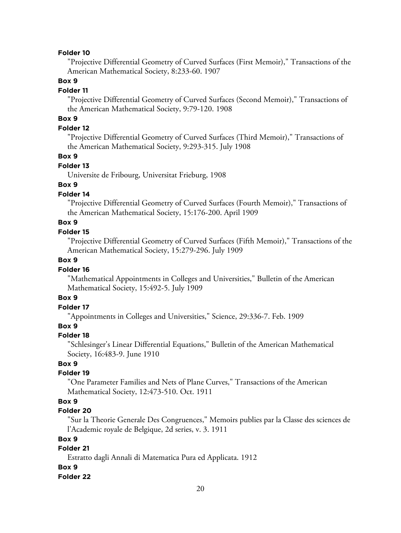#### **Folder 10**

"Projective Differential Geometry of Curved Surfaces (First Memoir)," Transactions of the American Mathematical Society, 8:233-60. 1907

## **Box 9**

#### **Folder 11**

"Projective Differential Geometry of Curved Surfaces (Second Memoir)," Transactions of the American Mathematical Society, 9:79-120. 1908

# **Box 9**

## **Folder 12**

"Projective Differential Geometry of Curved Surfaces (Third Memoir)," Transactions of the American Mathematical Society, 9:293-315. July 1908

## **Box 9**

#### **Folder 13**

Universite de Fribourg, Universitat Frieburg, 1908

## **Box 9**

## **Folder 14**

"Projective Differential Geometry of Curved Surfaces (Fourth Memoir)," Transactions of the American Mathematical Society, 15:176-200. April 1909

## **Box 9**

#### **Folder 15**

"Projective Differential Geometry of Curved Surfaces (Fifth Memoir)," Transactions of the American Mathematical Society, 15:279-296. July 1909

## **Box 9**

## **Folder 16**

"Mathematical Appointments in Colleges and Universities," Bulletin of the American Mathematical Society, 15:492-5. July 1909

#### **Box 9**

## **Folder 17**

"Appointments in Colleges and Universities," Science, 29:336-7. Feb. 1909

#### **Box 9**

#### **Folder 18**

"Schlesinger's Linear Differential Equations," Bulletin of the American Mathematical Society, 16:483-9. June 1910

## **Box 9**

## **Folder 19**

"One Parameter Families and Nets of Plane Curves," Transactions of the American Mathematical Society, 12:473-510. Oct. 1911

#### **Box 9**

## **Folder 20**

"Sur la Theorie Generale Des Congruences," Memoirs publies par la Classe des sciences de l'Academic royale de Belgique, 2d series, v. 3. 1911

#### **Box 9**

# **Folder 21**

Estratto dagli Annali di Matematica Pura ed Applicata. 1912

#### **Box 9**

#### **Folder 22**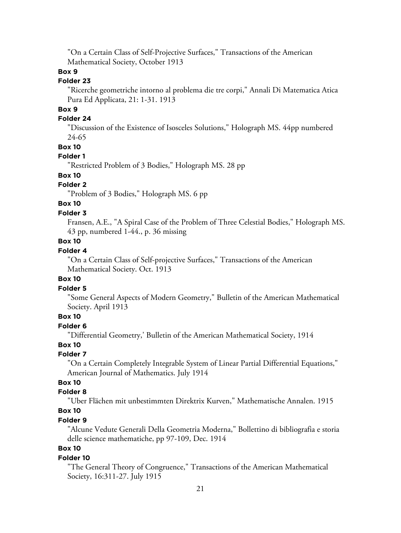"On a Certain Class of Self-Projective Surfaces," Transactions of the American Mathematical Society, October 1913

## **Box 9**

## **Folder 23**

"Ricerche geometriche intorno al problema die tre corpi," Annali Di Matematica Atica Pura Ed Applicata, 21: 1-31. 1913

# **Box 9**

## **Folder 24**

"Discussion of the Existence of Isosceles Solutions," Holograph MS. 44pp numbered 24-65

#### **Box 10**

#### **Folder 1**

"Restricted Problem of 3 Bodies," Holograph MS. 28 pp

# **Box 10**

# **Folder 2**

"Problem of 3 Bodies," Holograph MS. 6 pp

# **Box 10**

#### **Folder 3**

Fransen, A.E., "A Spiral Case of the Problem of Three Celestial Bodies," Holograph MS. 43 pp, numbered 1-44., p. 36 missing

## **Box 10**

## **Folder 4**

"On a Certain Class of Self-projective Surfaces," Transactions of the American Mathematical Society. Oct. 1913

## **Box 10**

## **Folder 5**

"Some General Aspects of Modern Geometry," Bulletin of the American Mathematical Society. April 1913

# **Box 10**

# **Folder 6**

"Differential Geometry,' Bulletin of the American Mathematical Society, 1914

## **Box 10**

## **Folder 7**

"On a Certain Completely Integrable System of Linear Partial Differential Equations," American Journal of Mathematics. July 1914

# **Box 10**

## **Folder 8**

"Uber Flächen mit unbestimmten Direktrix Kurven," Mathematische Annalen. 1915

# **Box 10**

## **Folder 9**

"Alcune Vedute Generali Della Geometria Moderna," Bollettino di bibliografia e storia delle science mathematiche, pp 97-109, Dec. 1914

# **Box 10**

#### **Folder 10**

"The General Theory of Congruence," Transactions of the American Mathematical Society, 16:311-27. July 1915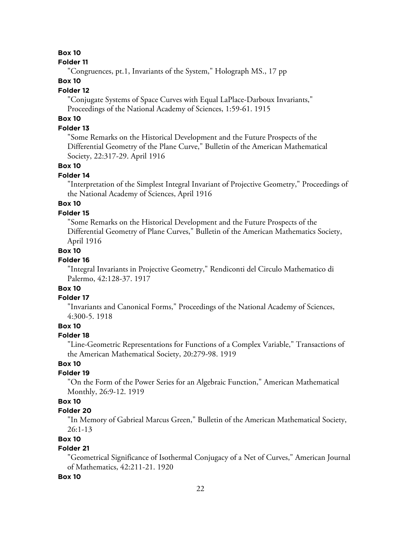#### **Folder 11**

"Congruences, pt.1, Invariants of the System," Holograph MS., 17 pp

## **Box 10**

## **Folder 12**

"Conjugate Systems of Space Curves with Equal LaPlace-Darboux Invariants," Proceedings of the National Academy of Sciences, 1:59-61. 1915

# **Box 10**

## **Folder 13**

"Some Remarks on the Historical Development and the Future Prospects of the Differential Geometry of the Plane Curve," Bulletin of the American Mathematical Society, 22:317-29. April 1916

#### **Box 10**

#### **Folder 14**

"Interpretation of the Simplest Integral Invariant of Projective Geometry," Proceedings of the National Academy of Sciences, April 1916

# **Box 10**

#### **Folder 15**

"Some Remarks on the Historical Development and the Future Prospects of the Differential Geometry of Plane Curves," Bulletin of the American Mathematics Society, April 1916

## **Box 10**

## **Folder 16**

"Integral Invariants in Projective Geometry," Rendiconti del Circulo Mathematico di Palermo, 42:128-37. 1917

# **Box 10**

## **Folder 17**

"Invariants and Canonical Forms," Proceedings of the National Academy of Sciences, 4:300-5. 1918

## **Box 10**

#### **Folder 18**

"Line-Geometric Representations for Functions of a Complex Variable," Transactions of the American Mathematical Society, 20:279-98. 1919

## **Box 10**

## **Folder 19**

"On the Form of the Power Series for an Algebraic Function," American Mathematical Monthly, 26:9-12. 1919

## **Box 10**

## **Folder 20**

"In Memory of Gabrieal Marcus Green," Bulletin of the American Mathematical Society, 26:1-13

## **Box 10**

## **Folder 21**

"Geometrical Significance of Isothermal Conjugacy of a Net of Curves," American Journal of Mathematics, 42:211-21. 1920

#### **Box 10**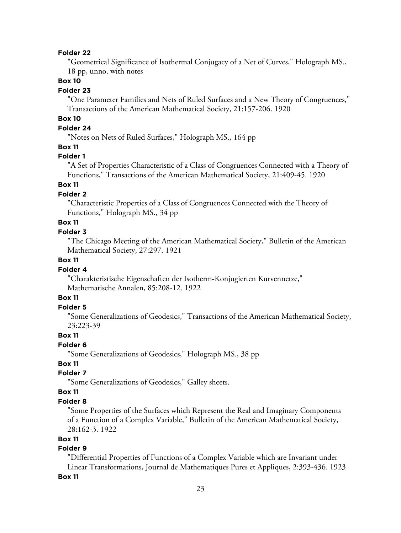#### **Folder 22**

"Geometrical Significance of Isothermal Conjugacy of a Net of Curves," Holograph MS., 18 pp, unno. with notes

## **Box 10**

#### **Folder 23**

"One Parameter Families and Nets of Ruled Surfaces and a New Theory of Congruences," Transactions of the American Mathematical Society, 21:157-206. 1920

# **Box 10**

#### **Folder 24**

"Notes on Nets of Ruled Surfaces," Holograph MS., 164 pp

#### **Box 11**

#### **Folder 1**

"A Set of Properties Characteristic of a Class of Congruences Connected with a Theory of Functions," Transactions of the American Mathematical Society, 21:409-45. 1920

## **Box 11**

## **Folder 2**

"Characteristic Properties of a Class of Congruences Connected with the Theory of Functions," Holograph MS., 34 pp

# **Box 11**

## **Folder 3**

"The Chicago Meeting of the American Mathematical Society," Bulletin of the American Mathematical Society, 27:297. 1921

## **Box 11**

#### **Folder 4**

"Charakteristische Eigenschaften der Isotherm-Konjugierten Kurvennetze," Mathematische Annalen, 85:208-12. 1922

# **Box 11**

# **Folder 5**

"Some Generalizations of Geodesics," Transactions of the American Mathematical Society, 23:223-39

## **Box 11**

## **Folder 6**

"Some Generalizations of Geodesics," Holograph MS., 38 pp

# **Box 11**

## **Folder 7**

"Some Generalizations of Geodesics," Galley sheets.

## **Box 11**

#### **Folder 8**

"Some Properties of the Surfaces which Represent the Real and Imaginary Components of a Function of a Complex Variable," Bulletin of the American Mathematical Society, 28:162-3. 1922

## **Box 11**

# **Folder 9**

"Differential Properties of Functions of a Complex Variable which are Invariant under Linear Transformations, Journal de Mathematiques Pures et Appliques, 2:393-436. 1923

#### **Box 11**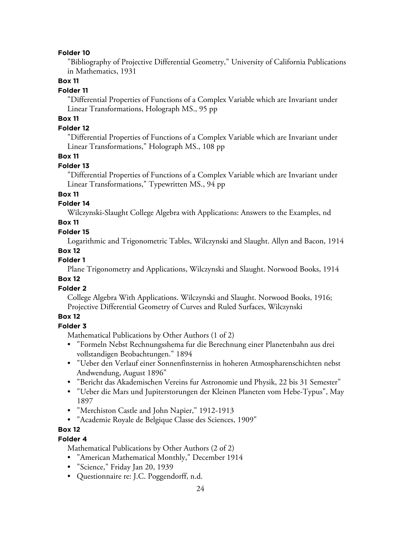#### **Folder 10**

"Bibliography of Projective Differential Geometry," University of California Publications in Mathematics, 1931

## **Box 11**

#### **Folder 11**

"Differential Properties of Functions of a Complex Variable which are Invariant under Linear Transformations, Holograph MS., 95 pp

# **Box 11**

## **Folder 12**

"Differential Properties of Functions of a Complex Variable which are Invariant under Linear Transformations," Holograph MS., 108 pp

## **Box 11**

## **Folder 13**

"Differential Properties of Functions of a Complex Variable which are Invariant under Linear Transformations," Typewritten MS., 94 pp

## **Box 11**

## **Folder 14**

Wilczynski-Slaught College Algebra with Applications: Answers to the Examples, nd

## **Box 11**

## **Folder 15**

Logarithmic and Trigonometric Tables, Wilczynski and Slaught. Allyn and Bacon, 1914

## **Box 12**

## **Folder 1**

Plane Trigonometry and Applications, Wilczynski and Slaught. Norwood Books, 1914

## **Box 12**

## **Folder 2**

College Algebra With Applications. Wilczynski and Slaught. Norwood Books, 1916; Projective Differential Geometry of Curves and Ruled Surfaces, Wilczynski

## **Box 12**

## **Folder 3**

Mathematical Publications by Other Authors (1 of 2)

- "Formeln Nebst Rechnungsshema fur die Berechnung einer Planetenbahn aus drei vollstandigen Beobachtungen." 1894
- "Ueber den Verlauf einer Sonnenfinsterniss in hoheren Atmospharenschichten nebst Andwendung, August 1896"
- "Bericht das Akademischen Vereins fur Astronomie und Physik, 22 bis 31 Semester"
- "Ueber die Mars und Jupiterstorungen der Kleinen Planeten vom Hebe-Typus", May 1897
- "Merchiston Castle and John Napier," 1912-1913
- "Academie Royale de Belgique Classe des Sciences, 1909"

# **Box 12**

## **Folder 4**

Mathematical Publications by Other Authors (2 of 2)

- "American Mathematical Monthly," December 1914
- "Science," Friday Jan 20, 1939
- Questionnaire re: J.C. Poggendorff, n.d.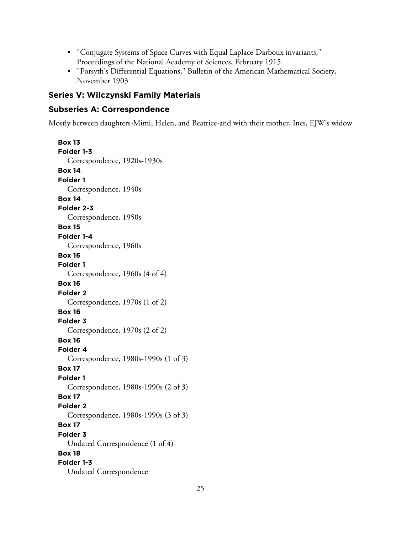- "Conjugate Systems of Space Curves with Equal Laplace-Darboux invariants," Proceedings of the National Academy of Sciences, February 1915
- "Forsyth's Differential Equations," Bulletin of the American Mathematical Society, November 1903

# **Series V: Wilczynski Family Materials**

## **Subseries A: Correspondence**

Mostly between daughters-Mimi, Helen, and Beatrice-and with their mother, Ines, EJW's widow

**Box 13 Folder 1-3** Correspondence, 1920s-1930s **Box 14 Folder 1** Correspondence, 1940s **Box 14 Folder 2-3** Correspondence, 1950s **Box 15 Folder 1-4** Correspondence, 1960s **Box 16 Folder 1** Correspondence, 1960s (4 of 4) **Box 16 Folder 2** Correspondence, 1970s (1 of 2) **Box 16 Folder 3** Correspondence, 1970s (2 of 2) **Box 16 Folder 4** Correspondence, 1980s-1990s (1 of 3) **Box 17 Folder 1** Correspondence, 1980s-1990s (2 of 3) **Box 17 Folder 2** Correspondence, 1980s-1990s (3 of 3) **Box 17 Folder 3** Undated Correspondence (1 of 4) **Box 18 Folder 1-3** Undated Correspondence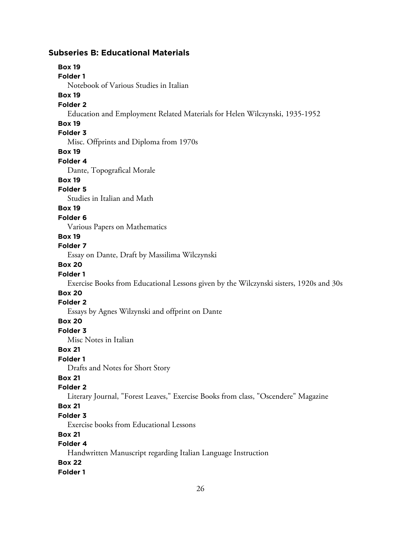## **Subseries B: Educational Materials**

**Box 19 Folder 1** Notebook of Various Studies in Italian **Box 19 Folder 2** Education and Employment Related Materials for Helen Wilczynski, 1935-1952 **Box 19 Folder 3** Misc. Offprints and Diploma from 1970s **Box 19 Folder 4** Dante, Topografical Morale **Box 19 Folder 5** Studies in Italian and Math **Box 19 Folder 6** Various Papers on Mathematics **Box 19 Folder 7** Essay on Dante, Draft by Massilima Wilczynski **Box 20 Folder 1** Exercise Books from Educational Lessons given by the Wilczynski sisters, 1920s and 30s **Box 20 Folder 2** Essays by Agnes Wilzynski and offprint on Dante **Box 20 Folder 3** Misc Notes in Italian **Box 21 Folder 1** Drafts and Notes for Short Story **Box 21 Folder 2** Literary Journal, "Forest Leaves," Exercise Books from class, "Oscendere" Magazine **Box 21 Folder 3** Exercise books from Educational Lessons **Box 21 Folder 4** Handwritten Manuscript regarding Italian Language Instruction **Box 22**

**Folder 1**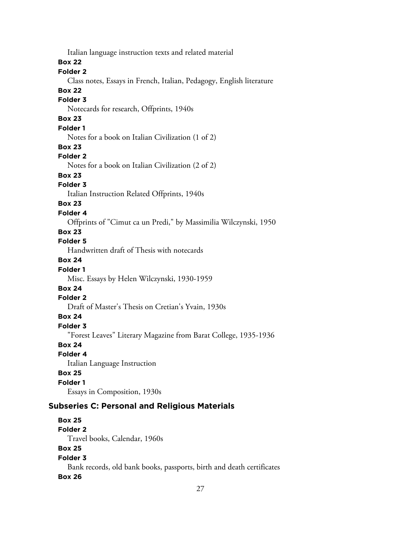Italian language instruction texts and related material **Box 22 Folder 2** Class notes, Essays in French, Italian, Pedagogy, English literature **Box 22 Folder 3** Notecards for research, Offprints, 1940s **Box 23 Folder 1** Notes for a book on Italian Civilization (1 of 2) **Box 23 Folder 2** Notes for a book on Italian Civilization (2 of 2) **Box 23 Folder 3** Italian Instruction Related Offprints, 1940s **Box 23 Folder 4** Offprints of "Cimut ca un Predi," by Massimilia Wilczynski, 1950 **Box 23 Folder 5** Handwritten draft of Thesis with notecards **Box 24 Folder 1** Misc. Essays by Helen Wilczynski, 1930-1959 **Box 24 Folder 2** Draft of Master's Thesis on Cretian's Yvain, 1930s **Box 24 Folder 3** "Forest Leaves" Literary Magazine from Barat College, 1935-1936 **Box 24 Folder 4** Italian Language Instruction **Box 25 Folder 1** Essays in Composition, 1930s **Subseries C: Personal and Religious Materials**

**Box 25 Folder 2** Travel books, Calendar, 1960s **Box 25 Folder 3** Bank records, old bank books, passports, birth and death certificates **Box 26**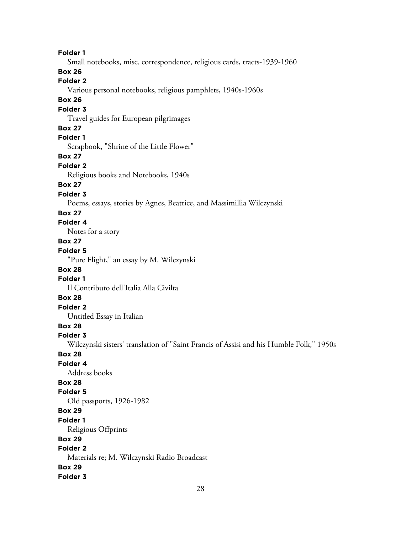**Folder 1** Small notebooks, misc. correspondence, religious cards, tracts-1939-1960 **Box 26 Folder 2** Various personal notebooks, religious pamphlets, 1940s-1960s **Box 26 Folder 3** Travel guides for European pilgrimages **Box 27 Folder 1** Scrapbook, "Shrine of the Little Flower" **Box 27 Folder 2** Religious books and Notebooks, 1940s **Box 27 Folder 3** Poems, essays, stories by Agnes, Beatrice, and Massimillia Wilczynski **Box 27 Folder 4** Notes for a story **Box 27 Folder 5** "Pure Flight," an essay by M. Wilczynski **Box 28 Folder 1** Il Contributo dell'Italia Alla Civilta **Box 28 Folder 2** Untitled Essay in Italian **Box 28 Folder 3** Wilczynski sisters' translation of "Saint Francis of Assisi and his Humble Folk," 1950s **Box 28 Folder 4** Address books **Box 28 Folder 5** Old passports, 1926-1982 **Box 29 Folder 1** Religious Offprints **Box 29 Folder 2** Materials re; M. Wilczynski Radio Broadcast **Box 29 Folder 3**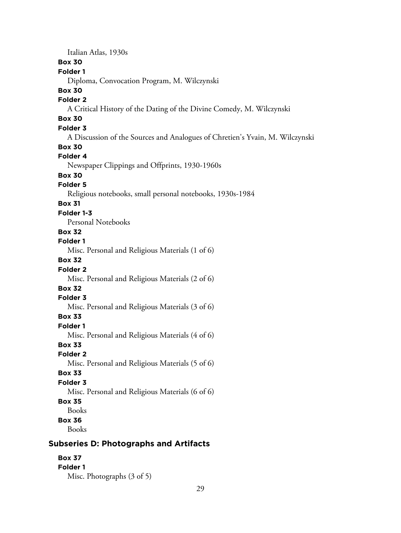Italian Atlas, 1930s

## **Box 30**

## **Folder 1**

Diploma, Convocation Program, M. Wilczynski

## **Box 30**

## **Folder 2**

A Critical History of the Dating of the Divine Comedy, M. Wilczynski

# **Box 30**

# **Folder 3**

A Discussion of the Sources and Analogues of Chretien's Yvain, M. Wilczynski

## **Box 30**

## **Folder 4**

Newspaper Clippings and Offprints, 1930-1960s

# **Box 30**

## **Folder 5**

Religious notebooks, small personal notebooks, 1930s-1984

## **Box 31**

## **Folder 1-3**

Personal Notebooks

## **Box 32**

**Folder 1**

Misc. Personal and Religious Materials (1 of 6)

## **Box 32**

## **Folder 2**

Misc. Personal and Religious Materials (2 of 6)

# **Box 32**

## **Folder 3**

Misc. Personal and Religious Materials (3 of 6)

# **Box 33**

## **Folder 1**

Misc. Personal and Religious Materials (4 of 6)

## **Box 33**

# **Folder 2**

Misc. Personal and Religious Materials (5 of 6)

## **Box 33**

# **Folder 3**

Misc. Personal and Religious Materials (6 of 6)

## **Box 35**

Books

**Box 36**

Books

# **Subseries D: Photographs and Artifacts**

#### **Box 37 Folder 1**

Misc. Photographs (3 of 5)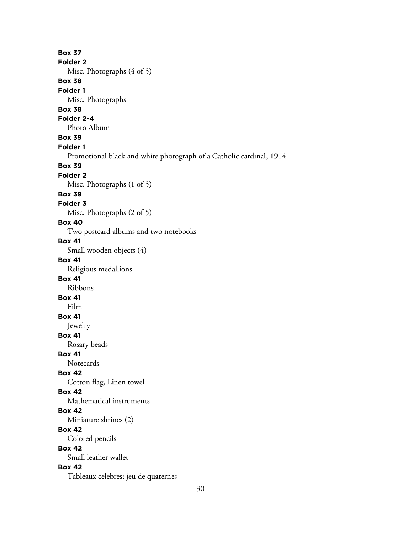**Box 37 Folder 2** Misc. Photographs (4 of 5) **Box 38 Folder 1** Misc. Photographs **Box 38 Folder 2-4** Photo Album **Box 39 Folder 1** Promotional black and white photograph of a Catholic cardinal, 1914 **Box 39 Folder 2** Misc. Photographs (1 of 5) **Box 39 Folder 3** Misc. Photographs (2 of 5) **Box 40** Two postcard albums and two notebooks **Box 41** Small wooden objects (4) **Box 41** Religious medallions **Box 41** Ribbons **Box 41** Film **Box 41** Jewelry **Box 41** Rosary beads **Box 41 Notecards Box 42** Cotton flag, Linen towel **Box 42** Mathematical instruments **Box 42** Miniature shrines (2) **Box 42** Colored pencils **Box 42** Small leather wallet **Box 42** Tableaux celebres; jeu de quaternes